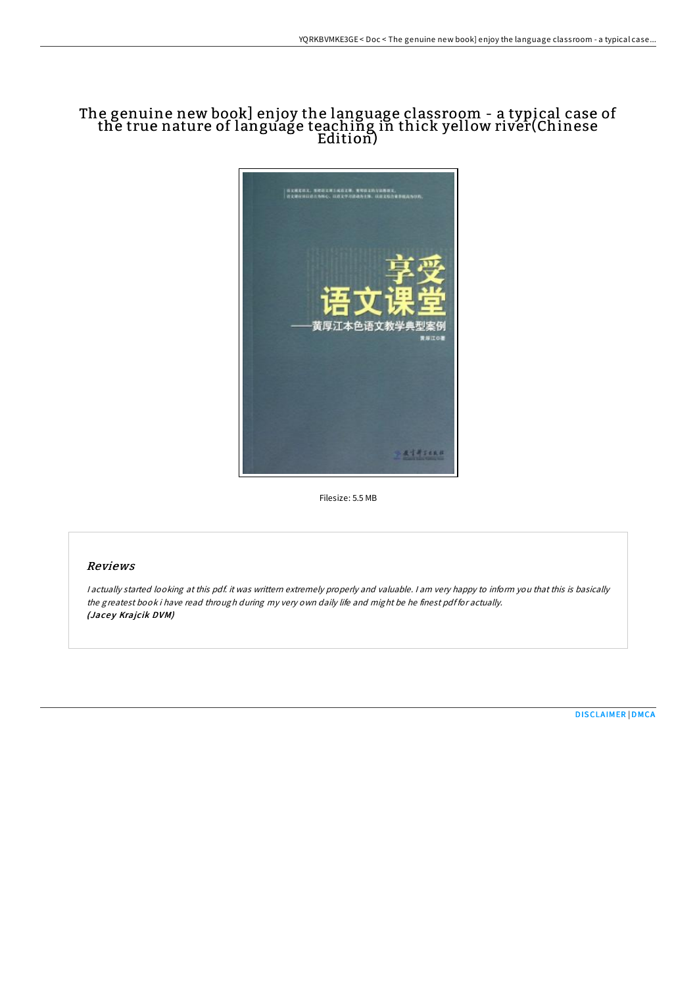# The genuine new book] enjoy the language classroom - a typical case of the true nature of language teaching in thick yellow river(Chinese Edition)



Filesize: 5.5 MB

### Reviews

<sup>I</sup> actually started looking at this pdf. it was writtern extremely properly and valuable. <sup>I</sup> am very happy to inform you that this is basically the greatest book i have read through during my very own daily life and might be he finest pdf for actually. (Jacey Krajcik DVM)

[DISCLAIMER](http://almighty24.tech/disclaimer.html) | [DMCA](http://almighty24.tech/dmca.html)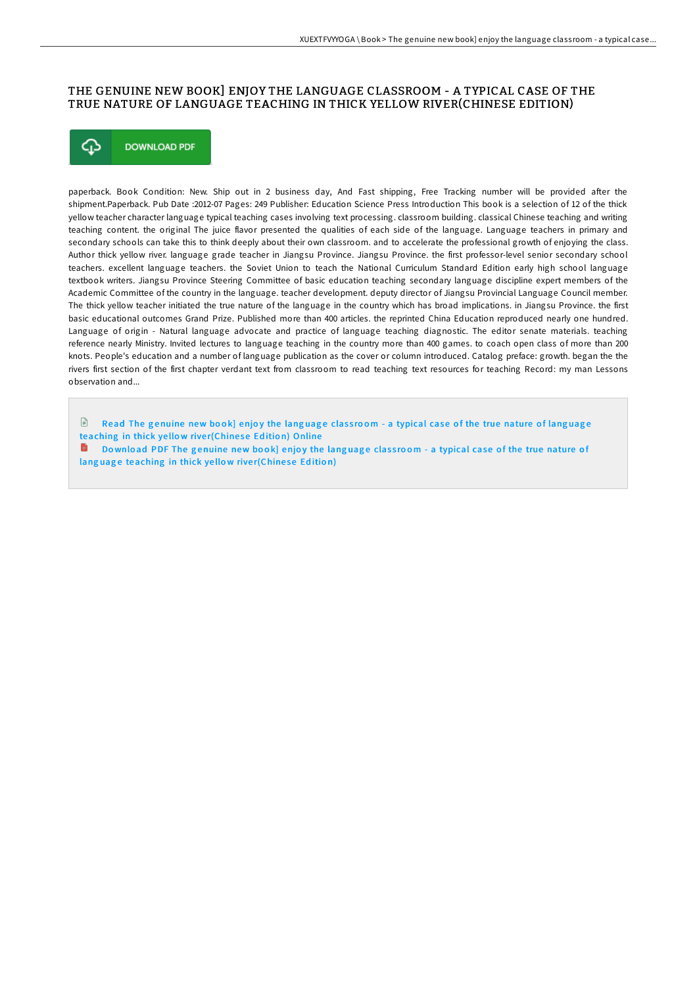### THE GENUINE NEW BOOK] ENJOY THE LANGUAGE CLASSROOM - A TYPICAL CASE OF THE TRUE NATURE OF LANGUAGE TEACHING IN THICK YELLOW RIVER(CHINESE EDITION)



paperback. Book Condition: New. Ship out in 2 business day, And Fast shipping, Free Tracking number will be provided after the shipment.Paperback. Pub Date :2012-07 Pages: 249 Publisher: Education Science Press Introduction This book is a selection of 12 of the thick yellow teacher character language typical teaching cases involving text processing. classroom building. classical Chinese teaching and writing teaching content. the original The juice flavor presented the qualities of each side of the language. Language teachers in primary and secondary schools can take this to think deeply about their own classroom. and to accelerate the professional growth of enjoying the class. Author thick yellow river. language grade teacher in Jiangsu Province. Jiangsu Province. the first professor-level senior secondary school teachers. excellent language teachers. the Soviet Union to teach the National Curriculum Standard Edition early high school language textbook writers. Jiangsu Province Steering Committee of basic education teaching secondary language discipline expert members of the Academic Committee of the country in the language. teacher development. deputy director of Jiangsu Provincial Language Council member. The thick yellow teacher initiated the true nature of the language in the country which has broad implications. in Jiangsu Province. the first basic educational outcomes Grand Prize. Published more than 400 articles. the reprinted China Education reproduced nearly one hundred. Language of origin - Natural language advocate and practice of language teaching diagnostic. The editor senate materials. teaching reference nearly Ministry. Invited lectures to language teaching in the country more than 400 games. to coach open class of more than 200 knots. People's education and a number of language publication as the cover or column introduced. Catalog preface: growth. began the the rivers first section of the first chapter verdant text from classroom to read teaching text resources for teaching Record: my man Lessons observation and...

 $\mathbb{R}$ Read The genuine new book] enjoy the language classroom - a typical case of the true nature of language [teaching](http://almighty24.tech/the-genuine-new-book-enjoy-the-language-classroo.html) in thick yellow river(Chinese Edition) Online

Download PDF The genuine new book] enjoy the language classroom - a typical case of the true nature of lang uage [teaching](http://almighty24.tech/the-genuine-new-book-enjoy-the-language-classroo.html) in thick yellow river(Chinese Edition)